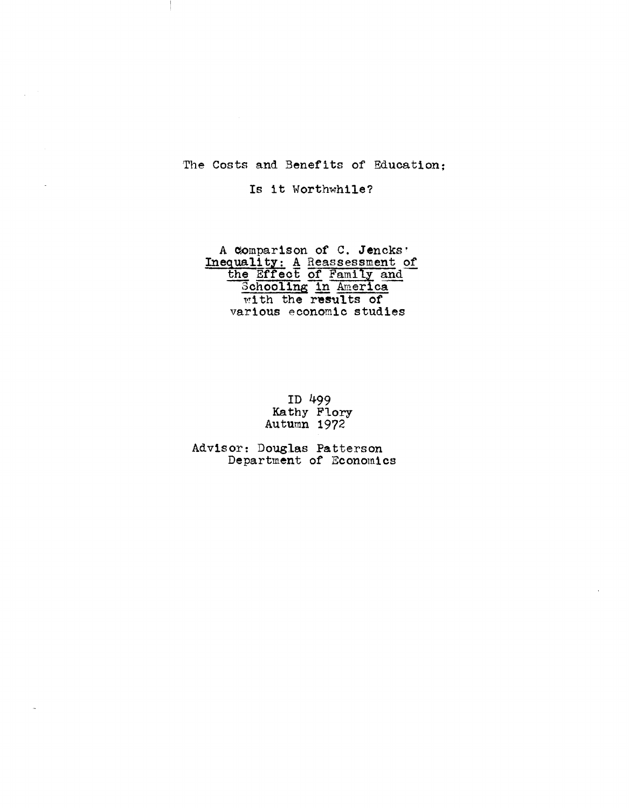## The Costs and Benefits of Education:

Is it Worthwhile?

A comparison of C. Jencks'<br>
Inequality: A Reassessment of<br>
the Effect of Family and<br>
Schooling in America<br>
with the results of various economic studies

> ID 499 Kathy Flory<br>Autumn 1972

Advisor: Douglas Patterson<br>Department of Economics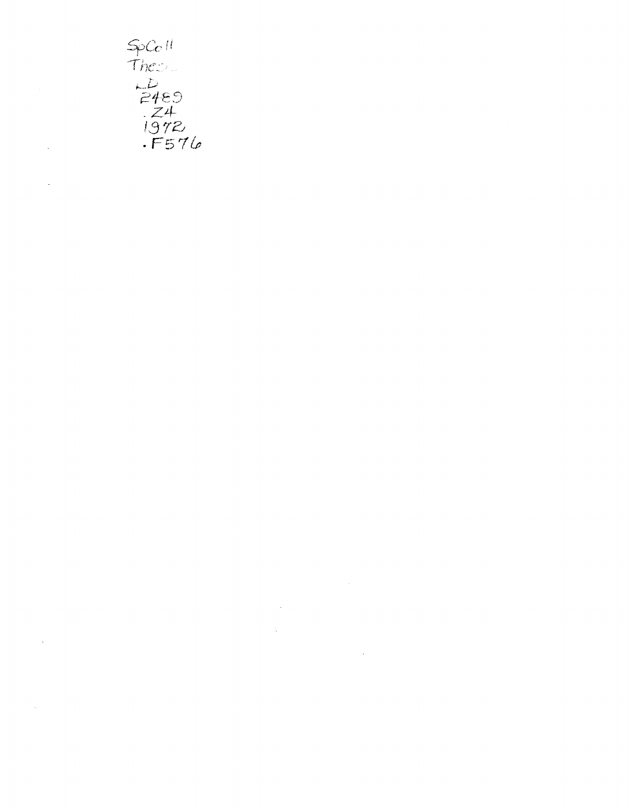

 $\sim$ 

 $\mathcal{A}$ 

 $\mathcal{L}^{\text{max}}_{\text{max}}$ 

 $\label{eq:2.1} \frac{1}{\sqrt{2}}\int_{\mathbb{R}^3}\frac{1}{\sqrt{2}}\left(\frac{1}{\sqrt{2}}\right)^2\frac{1}{\sqrt{2}}\left(\frac{1}{\sqrt{2}}\right)^2\frac{1}{\sqrt{2}}\left(\frac{1}{\sqrt{2}}\right)^2\frac{1}{\sqrt{2}}\left(\frac{1}{\sqrt{2}}\right)^2.$ 

 $\label{eq:2.1} \frac{1}{\sqrt{2}}\int_{\mathbb{R}^3}\frac{1}{\sqrt{2}}\left(\frac{1}{\sqrt{2}}\right)^2\frac{1}{\sqrt{2}}\left(\frac{1}{\sqrt{2}}\right)^2\frac{1}{\sqrt{2}}\left(\frac{1}{\sqrt{2}}\right)^2\frac{1}{\sqrt{2}}\left(\frac{1}{\sqrt{2}}\right)^2\frac{1}{\sqrt{2}}\left(\frac{1}{\sqrt{2}}\right)^2\frac{1}{\sqrt{2}}\frac{1}{\sqrt{2}}\frac{1}{\sqrt{2}}\frac{1}{\sqrt{2}}\frac{1}{\sqrt{2}}\frac{1}{\sqrt{2}}$ 

 $\mathcal{L}^{\text{max}}_{\text{max}}$  and  $\mathcal{L}^{\text{max}}_{\text{max}}$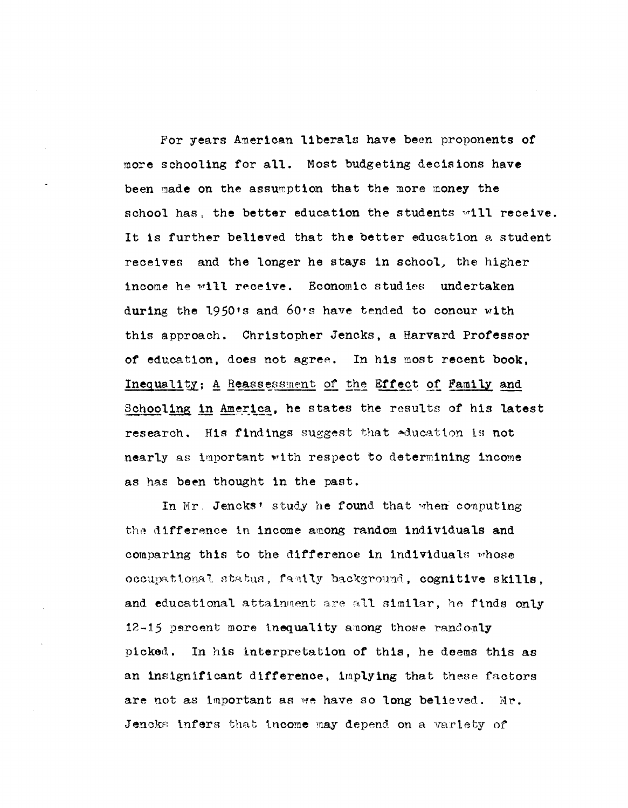For years American liberals have been proponents of more schooling for all. Most budgeting decisions have been made on the assumption that the more money the school has, the better education the students will receive. It is further believed that the better education a student receives and the longer he stays in school, the higher income he will receive. Economic studies undertaken during the 1950's and 60's have tended to concur with this approach. Christopher Jencks, a Harvard Professor of education, does not agree. In his most recent book, Inequality; A Reassessment of the Effect of Family and Schooling in America, he states the results of his latest research. His findings suggest that education is not nearly as important with respect to determining income as has been thought in the past.

In Mr. Jencks' study he found that when computing the difference in income among random individuals and comparing this to the difference in individuals whose occupational status, family background, cognitive skills. and educational attainment are all similar, he finds only 12-15 percent more inequality among those randomly picked. In his interpretation of this, he deems this as an insignificant difference, implying that these factors are not as important as we have so long believed. Mr. Jencks infers that income may depend on a variety of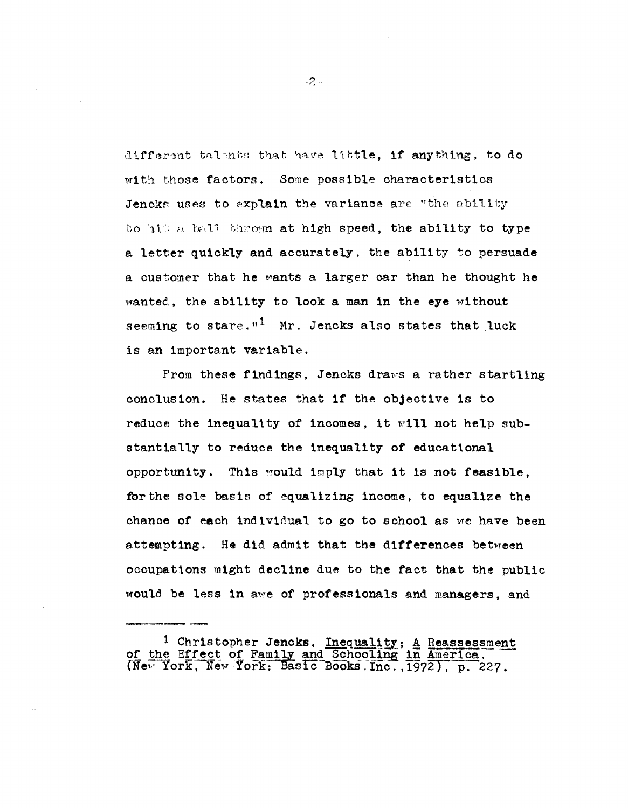different talents that have little. if anything, to do with those factors. Some possible characteristics Jencks uses to explain the variance are "the ability to hit a ball thrown at high speed, the ability to type a letter quickly and accurately, the ability to persuade a customer that he wants a larger car than he thought he wanted, the ability to look a man in the eye without seeming to stare."<sup>1</sup> Mr. Jencks also states that luck is an important variable.

From these findings. Jencks draws a rather startling conclusion. He states that if the objective is to reduce the inequality of incomes, it will not help substantially to reduce the inequality of educational opportunity. This would imply that it is not feasible. for the sole basis of equalizing income, to equalize the chance of each individual to go to school as we have been attempting. He did admit that the differences between occupations might decline due to the fact that the public would be less in awe of professionals and managers, and

<sup>1</sup> Christopher Jencks, Inequality; A Reassessment of the Effect of Family and Schooling in America. (New York, New York: Basic Books Inc., 1972), p. 227.

 $-2-$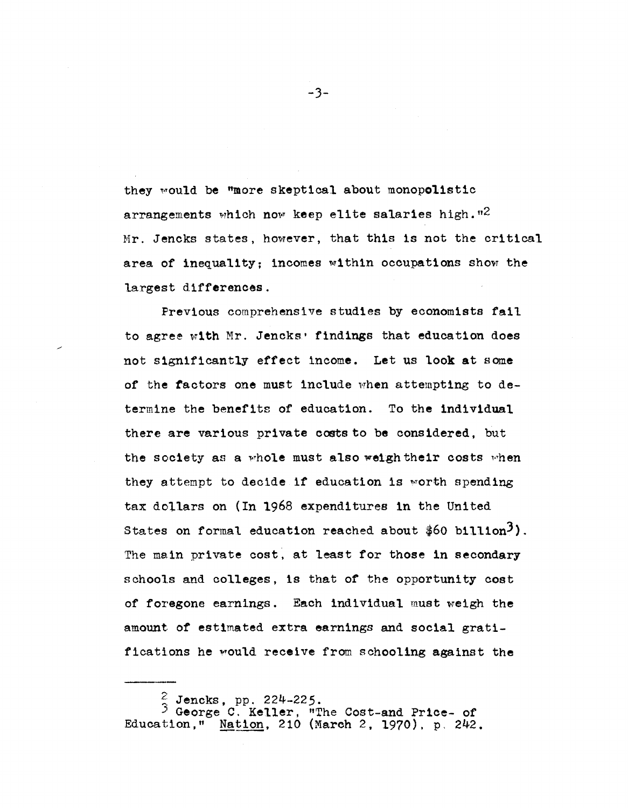they would be "more skeptical about monopolistic arrangements which now keep elite salaries high."<sup>2</sup> Mr. Jencks states, however, that this is not the critical area of inequality; incomes within occupations show the largest differences.

Previous comprehensive studies by economists fail to agree with Mr. Jencks' findings that education does not significantly effect income. Let us look at some of the factors one must include when attempting to determine the benefits of education. To the individual there are various private costs to be considered, but the society as a whole must also weightheir costs when they attempt to decide if education is worth spending tax dollars on (In 1968 expenditures in the United States on formal education reached about \$60 billion<sup>3</sup>). The main private cost, at least for those in secondary schools and colleges, is that of the opportunity cost of foregone earnings. Each individual must weigh the amount of estimated extra earnings and social gratifications he would receive from schooling against the

<sup>2</sup> Jencks, pp. 224-225.<br>
<sup>3</sup> George C. Keller, "The Cost-and Price- of Education," <u>Nation</u>, 210 (March 2, 1970), p. 242.

 $-3-$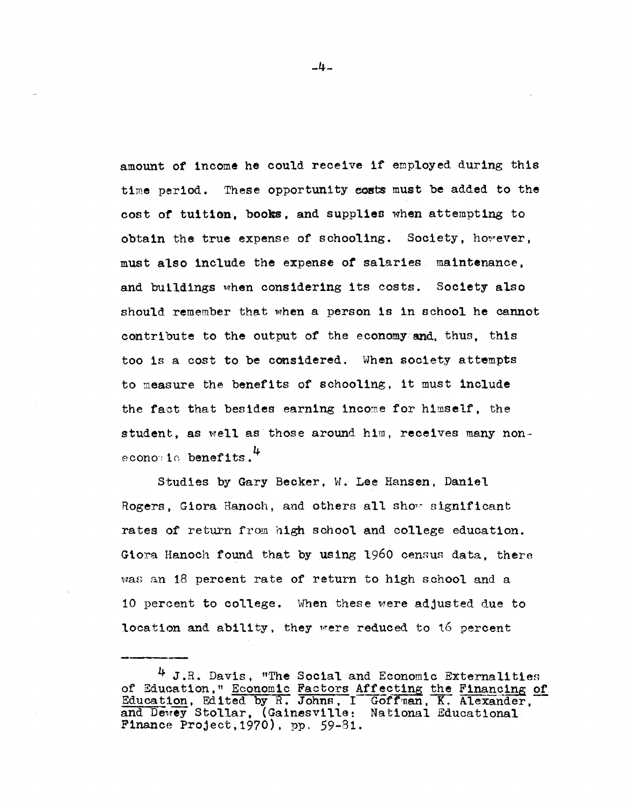amount of income he could receive if employed during this time period. These opportunity costs must be added to the cost of tuition, books, and supplies when attempting to obtain the true expense of schooling. Society, however, must also include the expense of salaries maintenance. and buildings when considering its costs. Society also should remember that when a person is in school he cannot contribute to the output of the economy and, thus, this too is a cost to be considered. When society attempts to measure the benefits of schooling, it must include the fact that besides earning income for himself, the student, as well as those around him, receives many noneconomic benefits.<sup>4</sup>

Studies by Gary Becker, W. Lee Hansen, Daniel Rogers, Giora Hanoch, and others all show significant rates of return from high school and college education. Giora Hanoch found that by using 1960 census data, there was an 18 percent rate of return to high school and a 10 percent to college. When these were adjusted due to location and ability, they were reduced to 16 percent

-4-

<sup>&</sup>lt;sup>4</sup> J.R. Davis, "The Social and Economic Externalities of Education," Economic Factors Affecting the Financing of Education, Edited by R. Johns, I Goffman, K. Alexander, and Dewey Stollar. (Gainesville: National Educational Finance Project,  $1970$ , pp.  $59-31$ .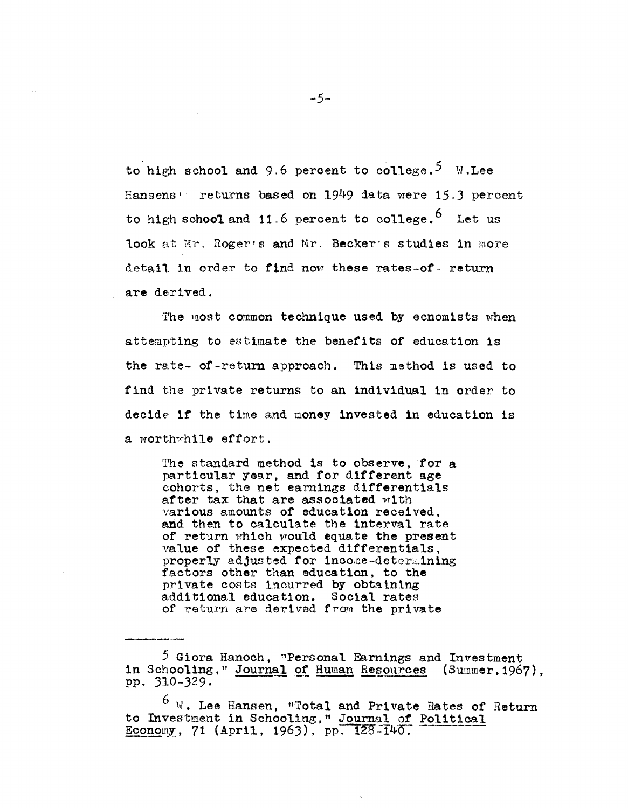to high school and 9.6 percent to college.<sup>5</sup> W.Lee Hansens' returns based on 1949 data were 15.3 percent to high school and 11.6 percent to college.<sup>6</sup> Let us look at Mr. Roger's and Mr. Becker's studies in more detail in order to find now these rates-of-return are derived.

The most common technique used by ecnomists when attempting to estimate the benefits of education is the rate- of-return approach. This method is used to find the private returns to an individual in order to decide if the time and money invested in education is a worthwhile effort.

The standard method is to observe, for a particular year, and for different age cohorts, the net earnings differentials after tax that are associated with various amounts of education received. and then to calculate the interval rate of return which would equate the present value of these expected differentials, properly adjusted for income-determining factors other than education, to the private costs incurred by obtaining additional education. Social rates of return are derived from the private

5 Giora Hanoch, "Personal Earnings and Investment in Schooling," Journal of Human Resources (Summer, 1967). pp. 310-329.

 $6$  W. Lee Hansen, "Total and Private Rates of Return to Investment in Schooling," Journal of Political Economy, 71 (April, 1963), pp.  $128-140$ .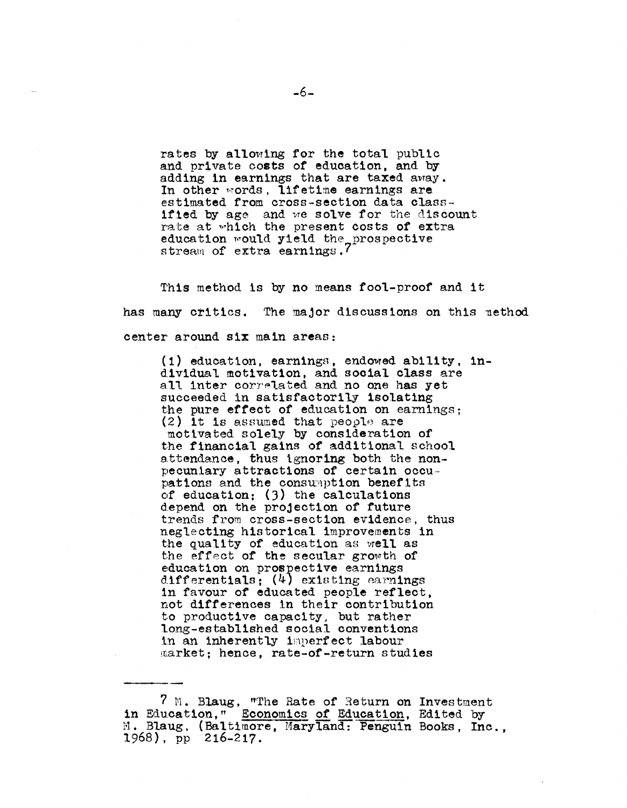rates by allowing for the total public and private costs of education, and by adding in earnings that are taxed away. In other words, lifetime earnings are estimated from cross-section data classified by age and we solve for the discount rate at which the present costs of extra education would yield the prospective stream of extra earnings.

This method is by no means fool-proof and it has many critics. The major discussions on this nethod center around six main areas:

(1) education, earnings, endowed ability, individual motivation, and social class are all inter correlated and no one has yet succeeded in satisfactorily isolating the pure effect of education on earnings; (2) it is assumed that people are motivated solely by consideration of the financial gains of additional school attendance, thus ignoring both the nonpecuniary attractions of certain occupations and the consumption benefits of education;  $(3)$  the calculations depend on the projection of future trends from cross-section evidence, thus neglecting historical improvements in the quality of education as well as the effect of the secular growth of education on prospective earnings differentials;  $(4)$  existing earnings in favour of educated people reflect, not differences in their contribution to productive capacity, but rather long-established social conventions in an inherently imperfect labour market; hence, rate-of-return studies

<sup>7</sup> M. Blaug, "The Rate of Return on Investment in Education," Economics of Education, Edited by M. Blaug, (Baltimore, Maryland: Penguin Books, Inc.,  $1968$ , pp  $216-217$ .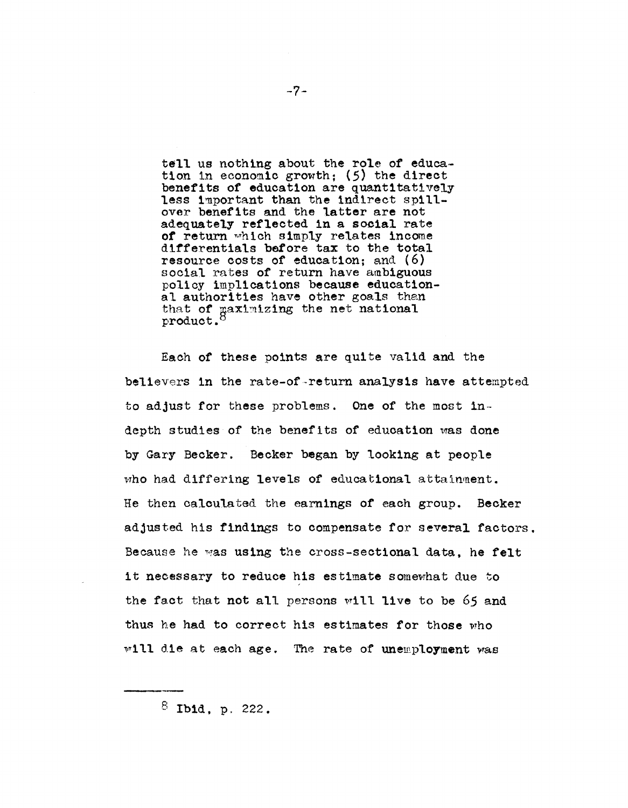tell us nothing about the role of education in economic growth;  $(5)$  the direct benef1ts of education are quant1tatively less important than the indirect spillover benef1ts and the latter are not adequately reflected in a sooial rate of return which simply relates income differentials before tax to the total resource costs of education; and (6) social rates of return have ambiguous policy implications because educational authorities have other goals than that of gaximizing the net national  $\tt product.$ 

Each of these points are quite valid and the believers in the rate-of-return analysis have attempted to adjust for these problems. One of the most indepth studies of the benefits of education was done by Gary Becker. Becker began by looking at people who had differing levels of educational attainment. He then calculated the earnings of each group. Becker adjusted his findings to compensate for several factors. Because he was using the cross-sectional data, he felt it necessary to reduce his estimate somewhat due to the fact that not all persons will live to be 65 and thus he had to correct his estimates for those who  $\n *with*  $\Delta$$ 

 $8$  Ibid, p. 222.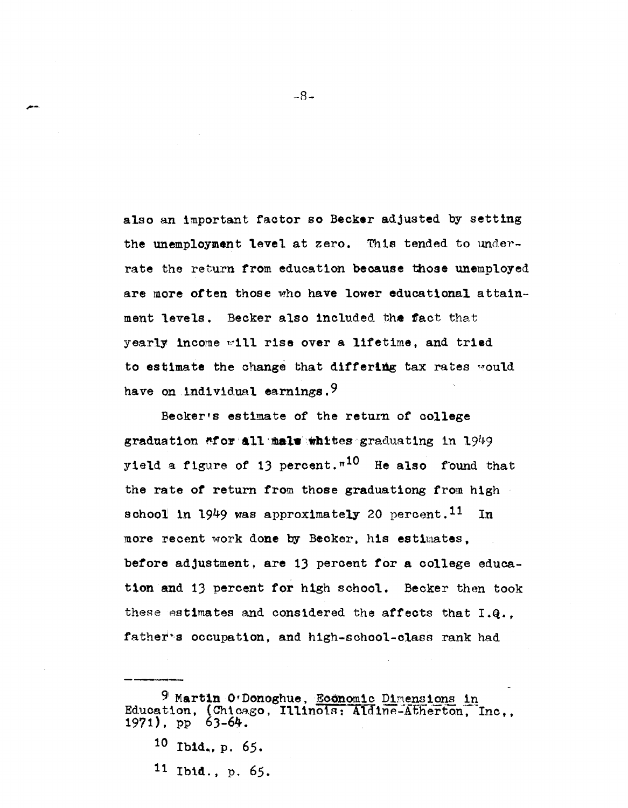also an important factor so Becker adjusted by setting the unemployment level at zero. This tended to underrate the return from education because those unemployed are more often those who have lower educational attainment levels. Becker also included the fact that yearly income will rise over a lifetime, and tried to estimate the change that differing tax rates would have on individual earnings.  $9$ 

Becker's estimate of the return of college graduation Mfor all malw whites graduating in 1949 yield a figure of 13 percent." $10$  He also found that the rate of return from those graduationg from high school in 1949 was approximately 20 percent.<sup>11</sup> In more recent work done by Becker, his estimates, before adjustment, are 13 percent for a college education and 13 percent for high school. Becker then took these estimates and considered the affects that I.Q.. father's occupation, and high-school-class rank had

9 Martin O'Donoghue, Economic Dimensions in Education, (Chicago, Illinois: Aldine-Atherton, Inc..  $1971$ , pp  $63-64$ .

 $-8-$ 

<sup>10</sup> Ibid., p. 65.

 $11$  Ibid., p. 65.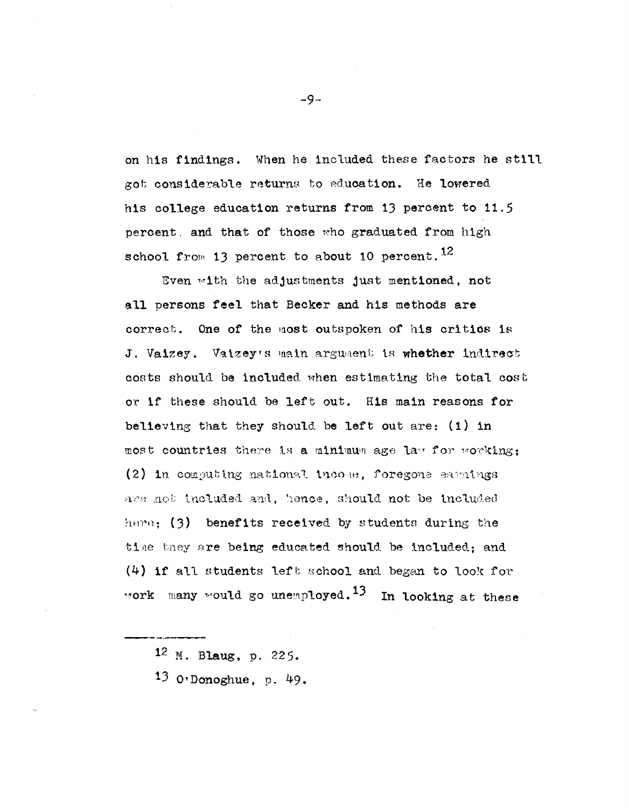on his findings. When he included these factors he still got considerable returns to education. He lowered his college education returns from 13 percent to 11.5 percent and that of those who graduated from high school from 13 percent to about 10 percent.<sup>12</sup>

Even with the adjustments just mentioned, not all persons feel that Becker and his methods are correct. One of the most outspoken of his critics is J. Vaizey. Vaizey's main argument is whether indirect costs should be included when estimating the total cost or if these should be left out. His main reasons for believing that they should be left out are: (1) in most countries there is a minimum age law for working; (2) in computing national income, foregone earnings are not included and, hence, should not be included here: (3) benefits received by students during the time they are being educated should be included; and (4) if all students left school and began to look for work many would go unemployed.<sup>13</sup> In looking at these

12 M. Blaug, p. 225. 13 O'Donoghue, p.  $49$ .

 $-9-$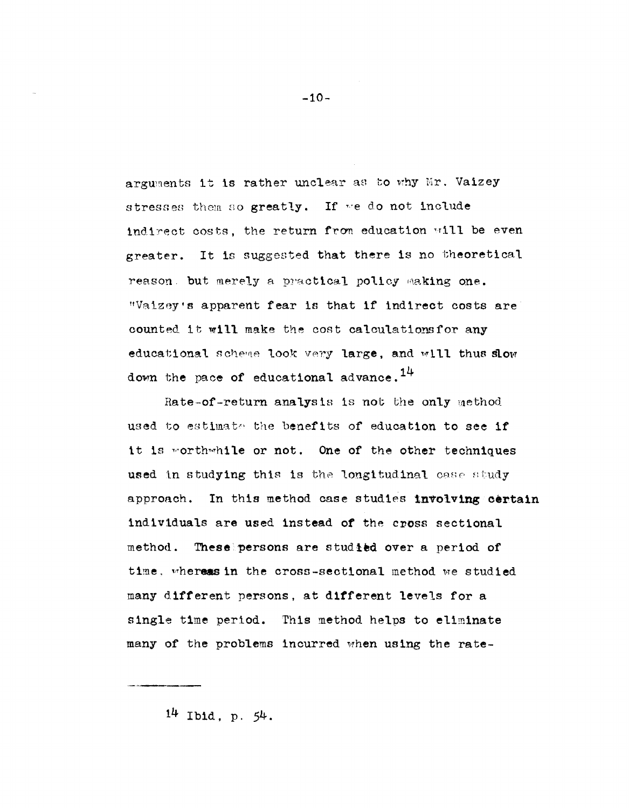arguments it is rather unclear as to why Mr. Vaizey stresses them so greatly. If we do not include indirect costs, the return from education will be even greater. It is suggested that there is no theoretical reason, but merely a practical policy making one. "Vaizey's apparent fear is that if indirect costs are counted it will make the cost calculations for any educational scheme look very large, and will thus slow down the pace of educational advance.  $14$ 

Rate-of-return analysis is not the only method used to estimate the benefits of education to see if it is worthwhile or not. One of the other techniques used in studying this is the longitudinal case study approach. In this method case studies involving certain individuals are used instead of the cross sectional method. These persons are studied over a period of time, whereas in the cross-sectional method we studied many different persons, at different levels for a single time period. This method helps to eliminate many of the problems incurred when using the rate-

 $14$  Ibid, p.  $54$ .

 $-10-$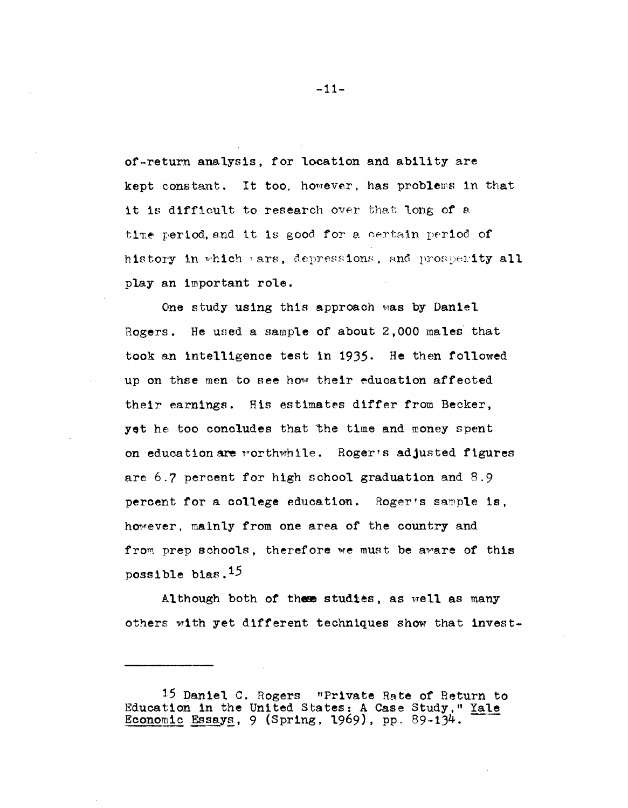of-return analysis, for location and ability are kept constant. It too, however, has problems in that it is difficult to research over that long of a time period, and it is good for a certain period of history in which vars, depressions, and prosperity all play an important role.

One study using this approach was by Daniel Rogers. He used a sample of about 2,000 males that took an intelligence test in 1935. He then followed up on thse men to see how their education affected their earnings. His estimates differ from Becker, yet he too concludes that the time and money spent on education are worthwhile. Roger's adjusted figures are 6.7 percent for high school graduation and 8.9 percent for a college education. Roger's sample is, however, mainly from one area of the country and from prep schools, therefore we must be aware of this possible bias.<sup>15</sup>

Although both of these studies, as well as many others with yet different techniques show that invest-

 $-11-$ 

<sup>15</sup> Daniel C. Rogers "Private Rate of Return to Education in the United States: A Case Study," Yale Economic Essays, 9 (Spring, 1969), pp. 89-134.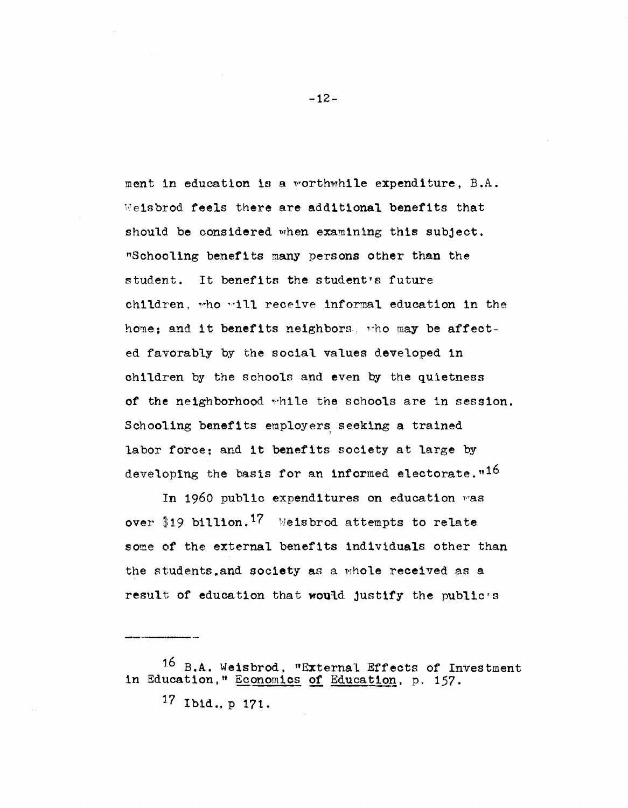ment in education is a worthwhile expenditure, B.A. Weisbrod feels there are additional benefits that should be considered when examining this subject. "Schooling benefits many persons other than the student. It benefits the student's future children, who will receive informal education in the home; and it benefits neighbors, who may be affected favorably by the social values developed in children by the schools and even by the quietness of the neighborhood while the schools are in session. Schooling benefits employers seeking a trained labor force; and it benefits society at large by developing the basis for an informed electorate."16

In 1960 public expenditures on education was over \$19 billion.<sup>17</sup> Weisbrod attempts to relate some of the external benefits individuals other than the students, and society as a whole received as a result of education that would justify the public's

16 B.A. Weisbrod, "External Effects of Investment<br>in Education," Economics of Education, p. 157.

<sup>17</sup> Ibid., p 171.

 $-12-$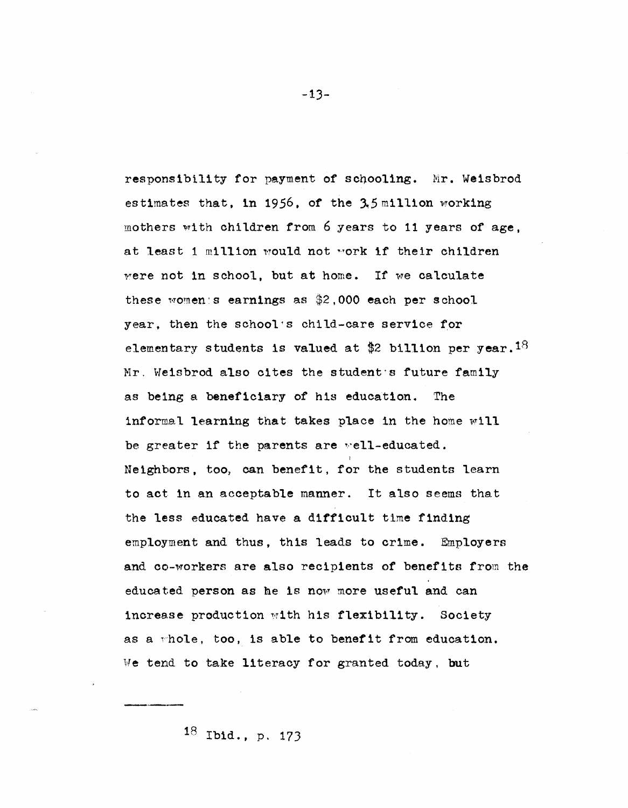responsibility for payment of schooling. Mr. Weisbrod estimates that, in 1956, of the  $3.5$  million working mothers with children from 6 years to 11 years of age, at least 1 million would not work if their children were not in school, but at home. If we calculate these women's earnings as  $$2,000$  each per school year, then the school's child-care service for elementary students is valued at \$2 billion per year.<sup>18</sup> Mr. Weisbrod also cites the student's future family as being a beneficiary of his education. The informal learning that takes place in the home will be greater if the parents are vell-educated. Neighbors, too, can benefit, for the students learn to act in an acceptable manner. It also seems that the less educated have a difficult time finding employment and thus, this leads to crime. Employers and co-workers are also recipients of benefits from the educated person as he is now more useful and can increase production with his flexibility. Society as a whole, too, is able to benefit from education. We tend to take literacy for granted today, but

18 Ibid., p. 173

-13-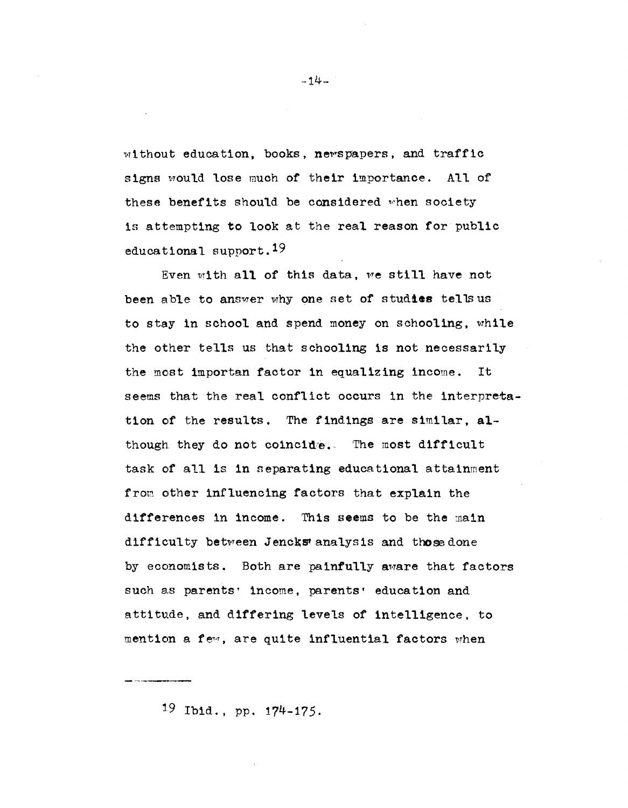without education, books, newspapers, and traffic signs would lose much of their importance. All of these benefits should be considered when society is attempting to look at the real reason for public educational support.  $19$ 

Even with all of this data, we still have not been able to answer why one set of studies tells us to stay in school and spend money on schooling, while the other tells us that schooling is not necessarily the most importan factor in equalizing income. It seems that the real conflict occurs in the interpretation of the results. The findings are similar, although they do not coincide. The most difficult task of all is in separating educational attainment from other influencing factors that explain the differences in income. This seems to be the main difficulty between Jencks analysis and those done by economists. Both are painfully aware that factors such as parents' income, parents' education and attitude, and differing levels of intelligence, to mention a few, are quite influential factors when

19 Ibid., pp. 174-175.

 $-14-$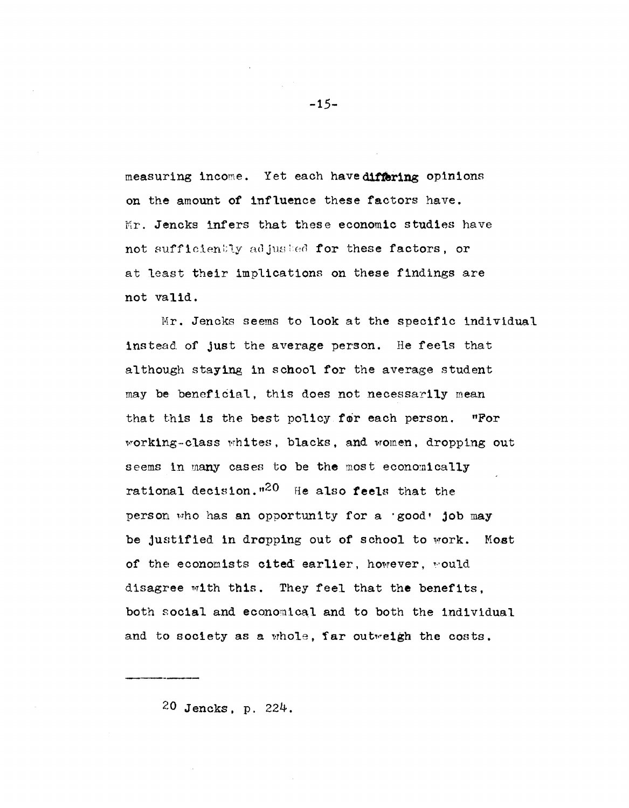measuring income. Yet each have differing opinions on the amount of influence these factors have. Mr. Jencks infers that these economic studies have not sufficiently adjusted for these factors, or at least their implications on these findings are not valid.

Mr. Jencks seems to look at the specific individual instead, of just the average person. He feels that although staying in school for the average student may be beneficial, this does not necessarily mean that this is the best policy for each person. "For working-class whites, blacks, and women, dropping out seems in many cases to be the most economically rational decision.  $n^{20}$  He also feels that the person who has an opportunity for a  $\cdot$  good' job may be justified in dropping out of school to work. Most of the economists cited earlier, however, mould disagree with this. They feel that the benefits, both social and economical and to both the individual and to society as a whole, far outweigh the costs.

20 Jencks. p. 224.

 $-15-$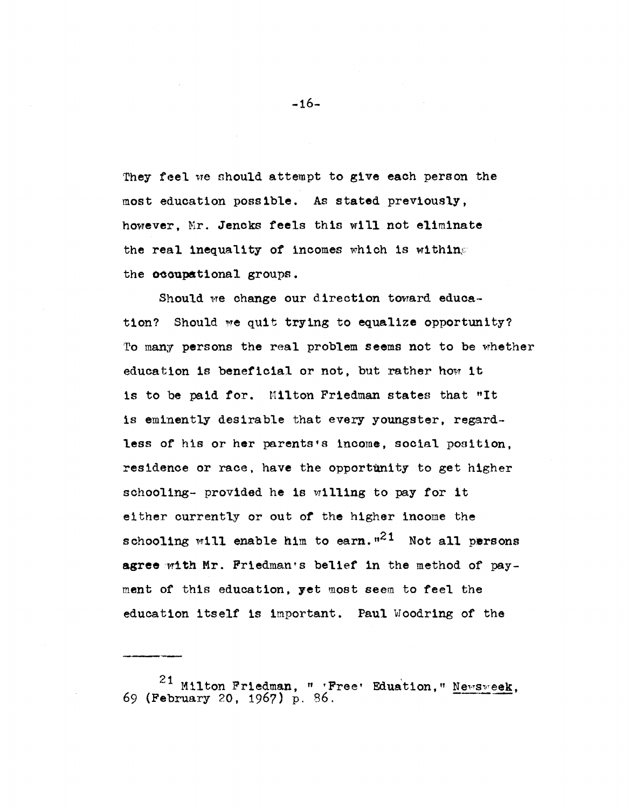They feel we should attempt to give each person the most education possible. As stated previously, however. Mr. Jencks feels this will not eliminate the real inequality of incomes which is withing the occupational groups.

Should we change our direction toward education? Should we quit trying to equalize opportunity? To many persons the real problem seems not to be whether education is beneficial or not, but rather how it is to be paid for. Milton Friedman states that "It is eminently desirable that every youngster, regardless of his or her parents's income. social position. residence or race, have the opportunity to get higher schooling- provided he is willing to pay for it either currently or out of the higher income the schooling will enable him to earn.  $n^{21}$  Not all persons agree with Mr. Friedman's belief in the method of payment of this education, yet most seem to feel the education itself is important. Paul Woodring of the

21 Milton Friedman, " Free' Eduation, " Newsweek, 69 (February 20, 1967) p. 86.

 $-16-$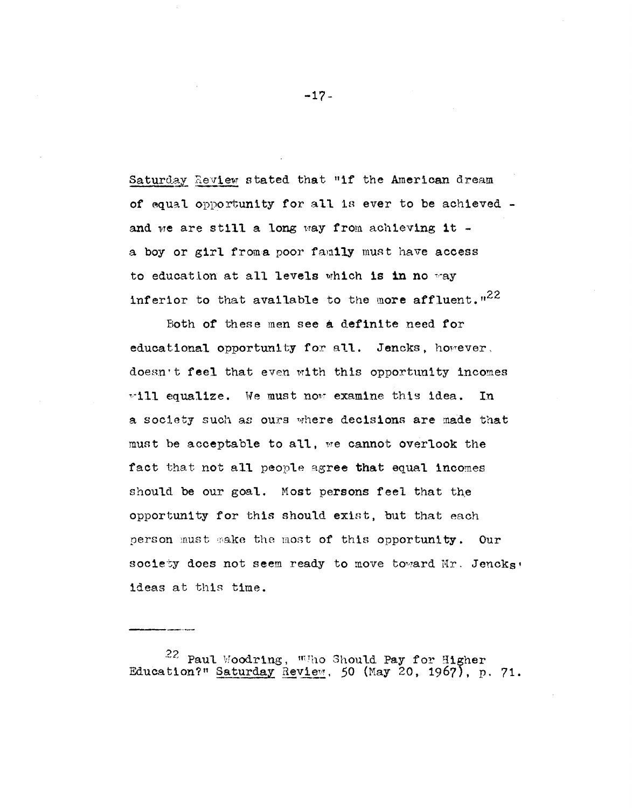Saturday Review stated that "if the American dream of equal opportunity for all is ever to be achieved and we are still a long way from achieving it a boy or girl froma poor family must have access to education at all levels which is in no way inferior to that available to the more affluent.  $n^{22}$ 

Both of these men see a definite need for educational opportunity for all. Jencks, however, doesn't feel that even with this opportunity incomes will equalize. We must now examine this idea. Tn. a society such as ours where decisions are made that must be acceptable to all. we cannot overlook the fact that not all people agree that equal incomes should be our goal. Most persons feel that the opportunity for this should exist, but that each person must make the most of this opportunity. Our society does not seem ready to move toward Mr. Jencks! ideas at this time.

22 Paul Woodring, "Who Should Pay for Higher Education?" Saturday Review, 50 (May 20, 1967), p. 71.

 $-17-$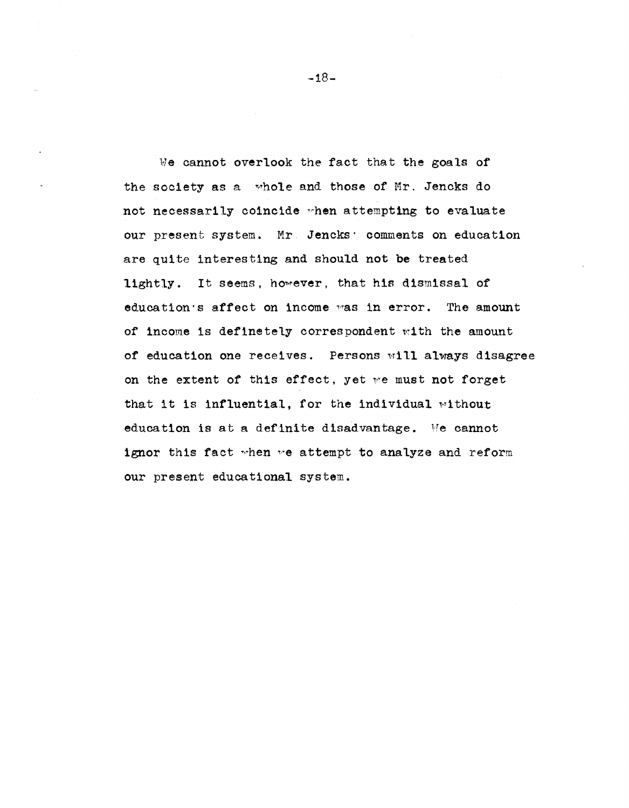We cannot overlook the fact that the goals of the society as a whole and those of Mr. Jencks do not necessarily coincide when attempting to evaluate our present system. Mr. Jencks: comments on education are quite interesting and should not be treated lightly. It seems, however, that his dismissal of education's affect on income was in error. The amount of income is definetely correspondent with the amount of education one receives. Persons will always disagree on the extent of this effect, yet we must not forget that it is influential, for the individual without education is at a definite disadvantage. We cannot ignor this fact when we attempt to analyze and reform our present educational system.

 $-18-$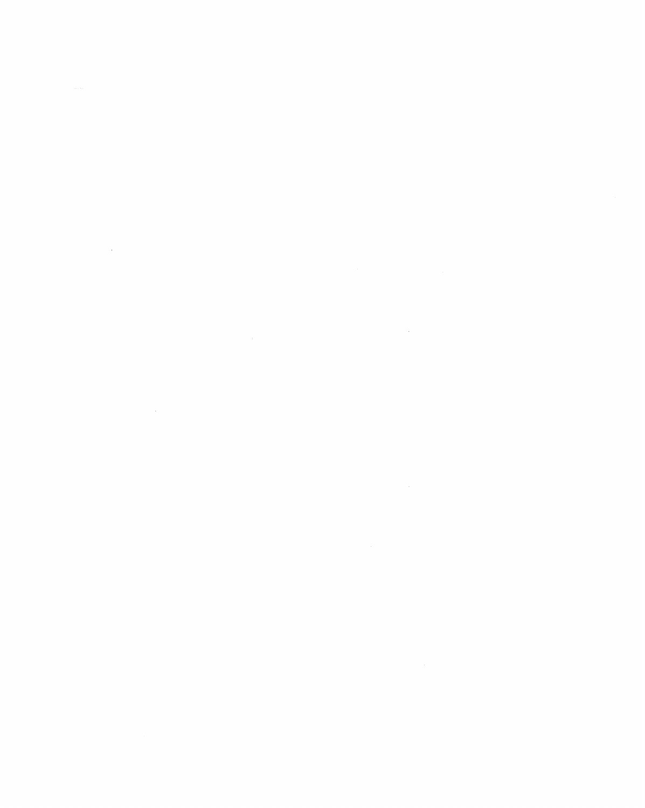$\label{eq:2.1} \frac{1}{\sqrt{2}}\left(\frac{1}{\sqrt{2}}\right)^{2} \left(\frac{1}{\sqrt{2}}\right)^{2} \left(\frac{1}{\sqrt{2}}\right)^{2} \left(\frac{1}{\sqrt{2}}\right)^{2} \left(\frac{1}{\sqrt{2}}\right)^{2} \left(\frac{1}{\sqrt{2}}\right)^{2} \left(\frac{1}{\sqrt{2}}\right)^{2} \left(\frac{1}{\sqrt{2}}\right)^{2} \left(\frac{1}{\sqrt{2}}\right)^{2} \left(\frac{1}{\sqrt{2}}\right)^{2} \left(\frac{1}{\sqrt{2}}\right)^{2} \left(\$ 

 $\label{eq:2.1} \frac{1}{\sqrt{2}}\int_{0}^{\infty}\frac{1}{\sqrt{2\pi}}\left(\frac{1}{\sqrt{2\pi}}\right)^{2\alpha} \frac{1}{\sqrt{2\pi}}\int_{0}^{\infty}\frac{1}{\sqrt{2\pi}}\left(\frac{1}{\sqrt{2\pi}}\right)^{\alpha} \frac{1}{\sqrt{2\pi}}\frac{1}{\sqrt{2\pi}}\int_{0}^{\infty}\frac{1}{\sqrt{2\pi}}\frac{1}{\sqrt{2\pi}}\frac{1}{\sqrt{2\pi}}\frac{1}{\sqrt{2\pi}}\frac{1}{\sqrt{2\pi}}\frac{1}{\sqrt{2\pi}}$ 

 $\label{eq:2.1} \frac{1}{\sqrt{2}}\int_{\mathbb{R}^3}\frac{1}{\sqrt{2}}\left(\frac{1}{\sqrt{2}}\right)^2\frac{1}{\sqrt{2}}\left(\frac{1}{\sqrt{2}}\right)^2\frac{1}{\sqrt{2}}\left(\frac{1}{\sqrt{2}}\right)^2\frac{1}{\sqrt{2}}\left(\frac{1}{\sqrt{2}}\right)^2.$